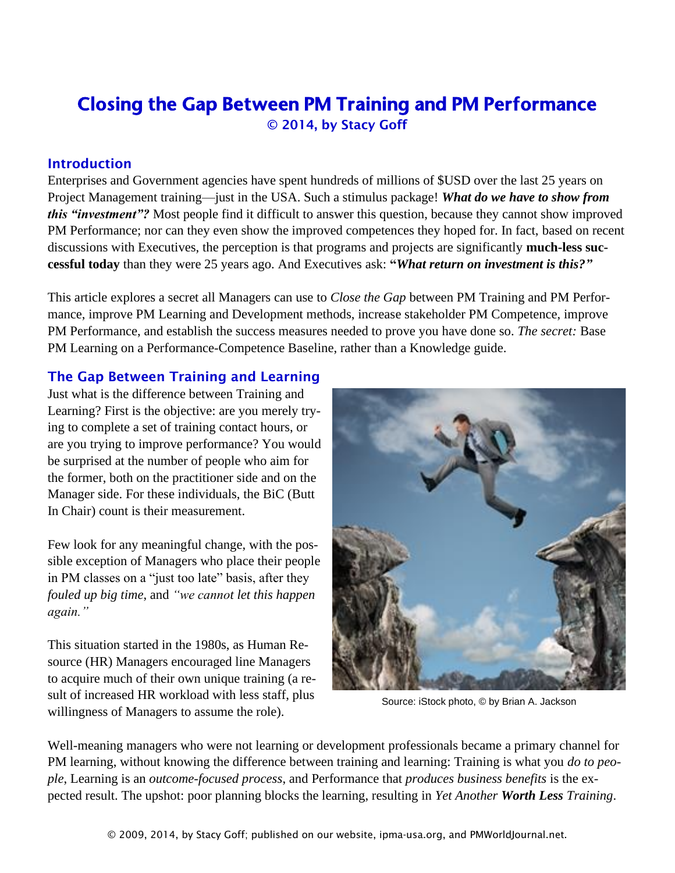# Closing the Gap Between PM Training and PM Performance © 2014, by Stacy Goff

#### Introduction

Enterprises and Government agencies have spent hundreds of millions of \$USD over the last 25 years on Project Management training—just in the USA. Such a stimulus package! *What do we have to show from this "investment"?* Most people find it difficult to answer this question, because they cannot show improved PM Performance; nor can they even show the improved competences they hoped for. In fact, based on recent discussions with Executives, the perception is that programs and projects are significantly **much-less successful today** than they were 25 years ago. And Executives ask: **"***What return on investment is this?"*

This article explores a secret all Managers can use to *Close the Gap* between PM Training and PM Performance, improve PM Learning and Development methods, increase stakeholder PM Competence, improve PM Performance, and establish the success measures needed to prove you have done so. *The secret:* Base PM Learning on a Performance-Competence Baseline, rather than a Knowledge guide.

# The Gap Between Training and Learning

Just what is the difference between Training and Learning? First is the objective: are you merely trying to complete a set of training contact hours, or are you trying to improve performance? You would be surprised at the number of people who aim for the former, both on the practitioner side and on the Manager side. For these individuals, the BiC (Butt In Chair) count is their measurement.

Few look for any meaningful change, with the possible exception of Managers who place their people in PM classes on a "just too late" basis, after they *fouled up big time*, and *"we cannot let this happen again."*

This situation started in the 1980s, as Human Resource (HR) Managers encouraged line Managers to acquire much of their own unique training (a result of increased HR workload with less staff, plus willingness of Managers to assume the role).



Source: iStock photo, © by Brian A. Jackson

Well-meaning managers who were not learning or development professionals became a primary channel for PM learning, without knowing the difference between training and learning: Training is what you *do to people*, Learning is an *outcome-focused process*, and Performance that *produces business benefits* is the expected result. The upshot: poor planning blocks the learning, resulting in *Yet Another Worth Less Training*.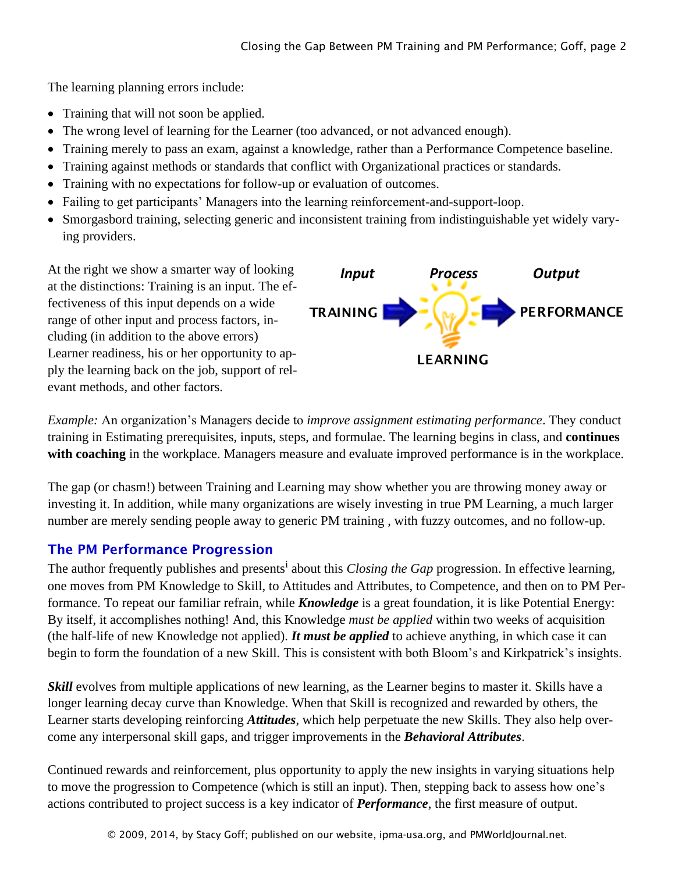The learning planning errors include:

- Training that will not soon be applied.
- The wrong level of learning for the Learner (too advanced, or not advanced enough).
- Training merely to pass an exam, against a knowledge, rather than a Performance Competence baseline.
- Training against methods or standards that conflict with Organizational practices or standards.
- Training with no expectations for follow-up or evaluation of outcomes.
- Failing to get participants' Managers into the learning reinforcement-and-support-loop.
- Smorgasbord training, selecting generic and inconsistent training from indistinguishable yet widely varying providers.

At the right we show a smarter way of looking at the distinctions: Training is an input. The effectiveness of this input depends on a wide range of other input and process factors, including (in addition to the above errors) Learner readiness, his or her opportunity to apply the learning back on the job, support of relevant methods, and other factors.



*Example:* An organization's Managers decide to *improve assignment estimating performance*. They conduct training in Estimating prerequisites, inputs, steps, and formulae. The learning begins in class, and **continues with coaching** in the workplace. Managers measure and evaluate improved performance is in the workplace.

The gap (or chasm!) between Training and Learning may show whether you are throwing money away or investing it. In addition, while many organizations are wisely investing in true PM Learning, a much larger number are merely sending people away to generic PM training , with fuzzy outcomes, and no follow-up.

# The PM Performance Progression

The author frequently publishes and presents<sup>i</sup> about this *Closing the Gap* progression. In effective learning, one moves from PM Knowledge to Skill, to Attitudes and Attributes, to Competence, and then on to PM Performance. To repeat our familiar refrain, while *Knowledge* is a great foundation, it is like Potential Energy: By itself, it accomplishes nothing! And, this Knowledge *must be applied* within two weeks of acquisition (the half-life of new Knowledge not applied). *It must be applied* to achieve anything, in which case it can begin to form the foundation of a new Skill. This is consistent with both Bloom's and Kirkpatrick's insights. At the right we show a smarter way of looking of *Projectiveness* of this input dependent on a wide<br>fectiveness of this input depends on a wide  $P$  *PRAINING*<br>
Exampre readiness, his or her opportunity to ap-<br> *PRAINING* 

*Skill* evolves from multiple applications of new learning, as the Learner begins to master it. Skills have a longer learning decay curve than Knowledge. When that Skill is recognized and rewarded by others, the Learner starts developing reinforcing *Attitudes*, which help perpetuate the new Skills. They also help overcome any interpersonal skill gaps, and trigger improvements in the *Behavioral Attributes*.

Continued rewards and reinforcement, plus opportunity to apply the new insights in varying situations help to move the progression to Competence (which is still an input). Then, stepping back to assess how one's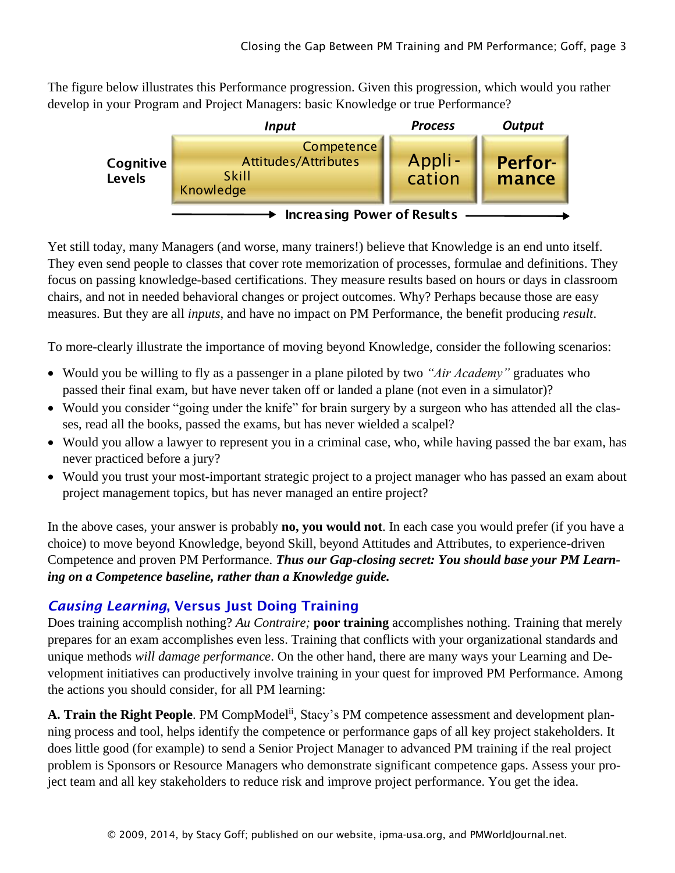The figure below illustrates this Performance progression. Given this progression, which would you rather develop in your Program and Project Managers: basic Knowledge or true Performance?



Yet still today, many Managers (and worse, many trainers!) believe that Knowledge is an end unto itself. They even send people to classes that cover rote memorization of processes, formulae and definitions. They focus on passing knowledge-based certifications. They measure results based on hours or days in classroom chairs, and not in needed behavioral changes or project outcomes. Why? Perhaps because those are easy measures. But they are all *inputs*, and have no impact on PM Performance, the benefit producing *result*.

To more-clearly illustrate the importance of moving beyond Knowledge, consider the following scenarios:

- Would you be willing to fly as a passenger in a plane piloted by two *"Air Academy"* graduates who passed their final exam, but have never taken off or landed a plane (not even in a simulator)?
- Would you consider "going under the knife" for brain surgery by a surgeon who has attended all the classes, read all the books, passed the exams, but has never wielded a scalpel?
- Would you allow a lawyer to represent you in a criminal case, who, while having passed the bar exam, has never practiced before a jury?
- Would you trust your most-important strategic project to a project manager who has passed an exam about project management topics, but has never managed an entire project?

In the above cases, your answer is probably **no, you would not**. In each case you would prefer (if you have a choice) to move beyond Knowledge, beyond Skill, beyond Attitudes and Attributes, to experience-driven Competence and proven PM Performance. *Thus our Gap-closing secret: You should base your PM Learning on a Competence baseline, rather than a Knowledge guide.*

# *Causing Learning*, Versus Just Doing Training

Does training accomplish nothing? *Au Contraire;* **poor training** accomplishes nothing. Training that merely prepares for an exam accomplishes even less. Training that conflicts with your organizational standards and unique methods *will damage performance*. On the other hand, there are many ways your Learning and Development initiatives can productively involve training in your quest for improved PM Performance. Among the actions you should consider, for all PM learning:

A. Train the Right People. PM CompModel<sup>ii</sup>, Stacy's PM competence assessment and development planning process and tool, helps identify the competence or performance gaps of all key project stakeholders. It does little good (for example) to send a Senior Project Manager to advanced PM training if the real project problem is Sponsors or Resource Managers who demonstrate significant competence gaps. Assess your project team and all key stakeholders to reduce risk and improve project performance. You get the idea.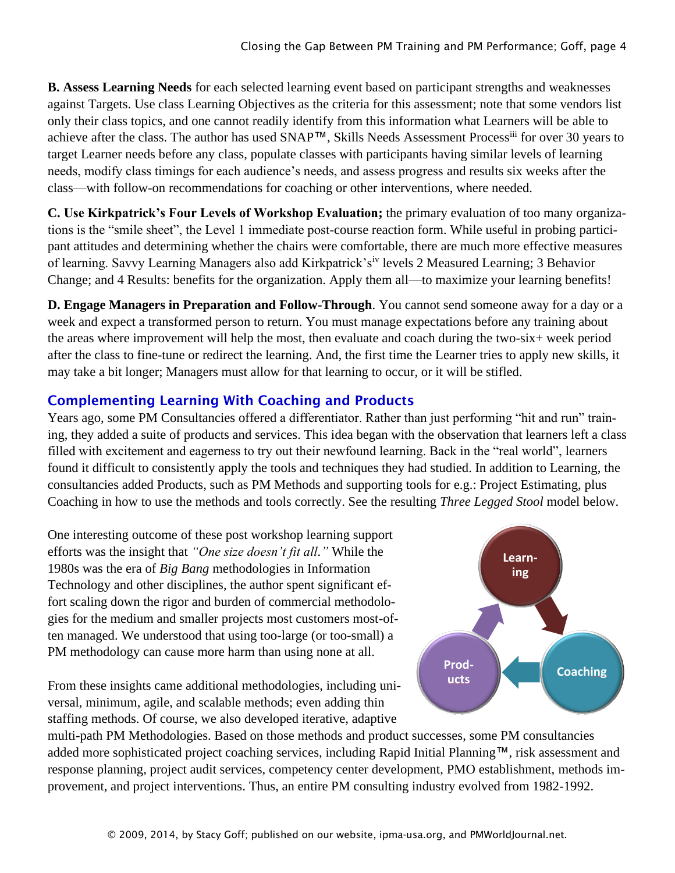**B. Assess Learning Needs** for each selected learning event based on participant strengths and weaknesses against Targets. Use class Learning Objectives as the criteria for this assessment; note that some vendors list only their class topics, and one cannot readily identify from this information what Learners will be able to achieve after the class. The author has used SNAP™, Skills Needs Assessment Processiii for over 30 years to target Learner needs before any class, populate classes with participants having similar levels of learning needs, modify class timings for each audience's needs, and assess progress and results six weeks after the class—with follow-on recommendations for coaching or other interventions, where needed.

**C. Use Kirkpatrick's Four Levels of Workshop Evaluation;** the primary evaluation of too many organizations is the "smile sheet", the Level 1 immediate post-course reaction form. While useful in probing participant attitudes and determining whether the chairs were comfortable, there are much more effective measures of learning. Savvy Learning Managers also add Kirkpatrick'siv levels 2 Measured Learning; 3 Behavior Change; and 4 Results: benefits for the organization. Apply them all—to maximize your learning benefits!

**D. Engage Managers in Preparation and Follow-Through**. You cannot send someone away for a day or a week and expect a transformed person to return. You must manage expectations before any training about the areas where improvement will help the most, then evaluate and coach during the two-six+ week period after the class to fine-tune or redirect the learning. And, the first time the Learner tries to apply new skills, it may take a bit longer; Managers must allow for that learning to occur, or it will be stifled.

# Complementing Learning With Coaching and Products

Years ago, some PM Consultancies offered a differentiator. Rather than just performing "hit and run" training, they added a suite of products and services. This idea began with the observation that learners left a class filled with excitement and eagerness to try out their newfound learning. Back in the "real world", learners found it difficult to consistently apply the tools and techniques they had studied. In addition to Learning, the consultancies added Products, such as PM Methods and supporting tools for e.g.: Project Estimating, plus Coaching in how to use the methods and tools correctly. See the resulting *Three Legged Stool* model below.

One interesting outcome of these post workshop learning support efforts was the insight that *"One size doesn't fit all."* While the 1980s was the era of *Big Bang* methodologies in Information Technology and other disciplines, the author spent significant effort scaling down the rigor and burden of commercial methodologies for the medium and smaller projects most customers most-often managed. We understood that using too-large (or too-small) a PM methodology can cause more harm than using none at all.

From these insights came additional methodologies, including universal, minimum, agile, and scalable methods; even adding thin staffing methods. Of course, we also developed iterative, adaptive



multi-path PM Methodologies. Based on those methods and product successes, some PM consultancies added more sophisticated project coaching services, including Rapid Initial Planning™, risk assessment and response planning, project audit services, competency center development, PMO establishment, methods improvement, and project interventions. Thus, an entire PM consulting industry evolved from 1982-1992.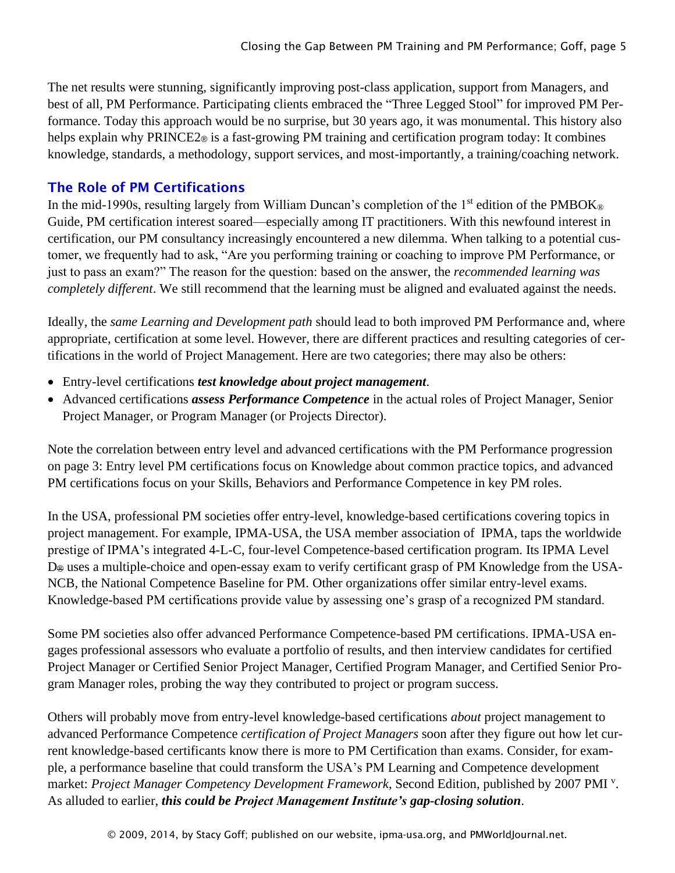The net results were stunning, significantly improving post-class application, support from Managers, and best of all, PM Performance. Participating clients embraced the "Three Legged Stool" for improved PM Performance. Today this approach would be no surprise, but 30 years ago, it was monumental. This history also helps explain why PRINCE2<sup>®</sup> is a fast-growing PM training and certification program today: It combines knowledge, standards, a methodology, support services, and most-importantly, a training/coaching network.

#### The Role of PM Certifications

In the mid-1990s, resulting largely from William Duncan's completion of the 1<sup>st</sup> edition of the PMBOK<sup>®</sup> Guide, PM certification interest soared—especially among IT practitioners. With this newfound interest in certification, our PM consultancy increasingly encountered a new dilemma. When talking to a potential customer, we frequently had to ask, "Are you performing training or coaching to improve PM Performance, or just to pass an exam?" The reason for the question: based on the answer, the *recommended learning was completely different*. We still recommend that the learning must be aligned and evaluated against the needs.

Ideally, the *same Learning and Development path* should lead to both improved PM Performance and, where appropriate, certification at some level. However, there are different practices and resulting categories of certifications in the world of Project Management. Here are two categories; there may also be others:

- Entry-level certifications *test knowledge about project management*.
- Advanced certifications *assess Performance Competence* in the actual roles of Project Manager, Senior Project Manager, or Program Manager (or Projects Director).

Note the correlation between entry level and advanced certifications with the PM Performance progression on page 3: Entry level PM certifications focus on Knowledge about common practice topics, and advanced PM certifications focus on your Skills, Behaviors and Performance Competence in key PM roles.

In the USA, professional PM societies offer entry-level, knowledge-based certifications covering topics in project management. For example, IPMA-USA, the USA member association of IPMA, taps the worldwide prestige of IPMA's integrated 4-L-C, four-level Competence-based certification program. Its IPMA Level D® uses a multiple-choice and open-essay exam to verify certificant grasp of PM Knowledge from the USA-NCB, the National Competence Baseline for PM. Other organizations offer similar entry-level exams. Knowledge-based PM certifications provide value by assessing one's grasp of a recognized PM standard.

Some PM societies also offer advanced Performance Competence-based PM certifications. IPMA-USA engages professional assessors who evaluate a portfolio of results, and then interview candidates for certified Project Manager or Certified Senior Project Manager, Certified Program Manager, and Certified Senior Program Manager roles, probing the way they contributed to project or program success.

Others will probably move from entry-level knowledge-based certifications *about* project management to advanced Performance Competence *certification of Project Managers* soon after they figure out how let current knowledge-based certificants know there is more to PM Certification than exams. Consider, for example, a performance baseline that could transform the USA's PM Learning and Competence development market: Project Manager Competency Development Framework, Second Edition, published by 2007 PMI<sup>v</sup>. As alluded to earlier, *this could be Project Management Institute's gap-closing solution*.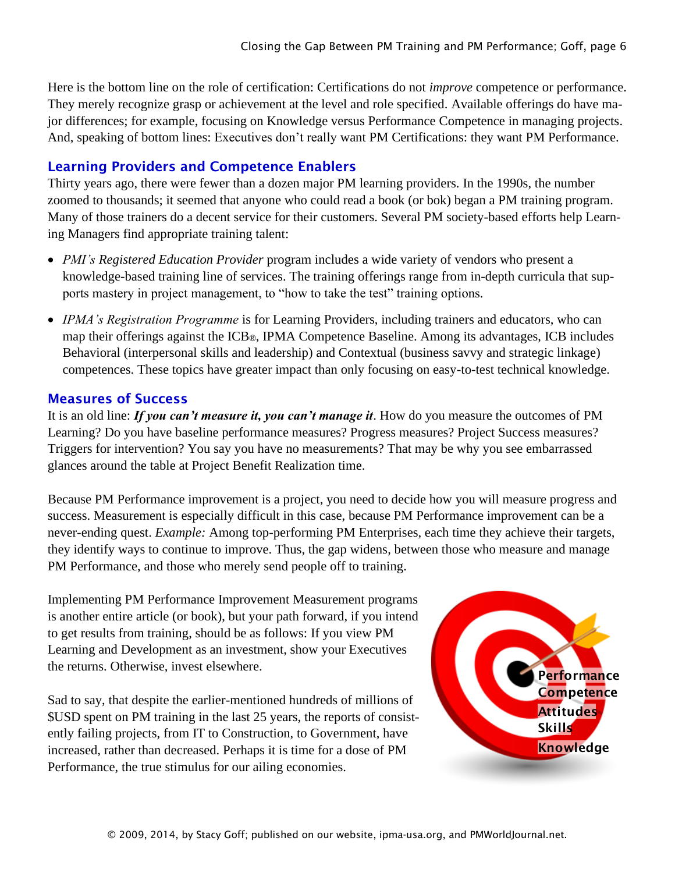Here is the bottom line on the role of certification: Certifications do not *improve* competence or performance. They merely recognize grasp or achievement at the level and role specified. Available offerings do have major differences; for example, focusing on Knowledge versus Performance Competence in managing projects. And, speaking of bottom lines: Executives don't really want PM Certifications: they want PM Performance.

#### Learning Providers and Competence Enablers

Thirty years ago, there were fewer than a dozen major PM learning providers. In the 1990s, the number zoomed to thousands; it seemed that anyone who could read a book (or bok) began a PM training program. Many of those trainers do a decent service for their customers. Several PM society-based efforts help Learning Managers find appropriate training talent:

- *PMI's Registered Education Provider* program includes a wide variety of vendors who present a knowledge-based training line of services. The training offerings range from in-depth curricula that supports mastery in project management, to "how to take the test" training options*.*
- *IPMA's Registration Programme* is for Learning Providers, including trainers and educators, who can map their offerings against the ICB®, IPMA Competence Baseline. Among its advantages, ICB includes Behavioral (interpersonal skills and leadership) and Contextual (business savvy and strategic linkage) competences. These topics have greater impact than only focusing on easy-to-test technical knowledge.

#### Measures of Success

It is an old line: *If you can't measure it, you can't manage it*. How do you measure the outcomes of PM Learning? Do you have baseline performance measures? Progress measures? Project Success measures? Triggers for intervention? You say you have no measurements? That may be why you see embarrassed glances around the table at Project Benefit Realization time.

Because PM Performance improvement is a project, you need to decide how you will measure progress and success. Measurement is especially difficult in this case, because PM Performance improvement can be a never-ending quest. *Example:* Among top-performing PM Enterprises, each time they achieve their targets, they identify ways to continue to improve. Thus, the gap widens, between those who measure and manage PM Performance, and those who merely send people off to training.

Implementing PM Performance Improvement Measurement programs is another entire article (or book), but your path forward, if you intend to get results from training, should be as follows: If you view PM Learning and Development as an investment, show your Executives the returns. Otherwise, invest elsewhere.

Sad to say, that despite the earlier-mentioned hundreds of millions of \$USD spent on PM training in the last 25 years, the reports of consistently failing projects, from IT to Construction, to Government, have increased, rather than decreased. Perhaps it is time for a dose of PM Performance, the true stimulus for our ailing economies.

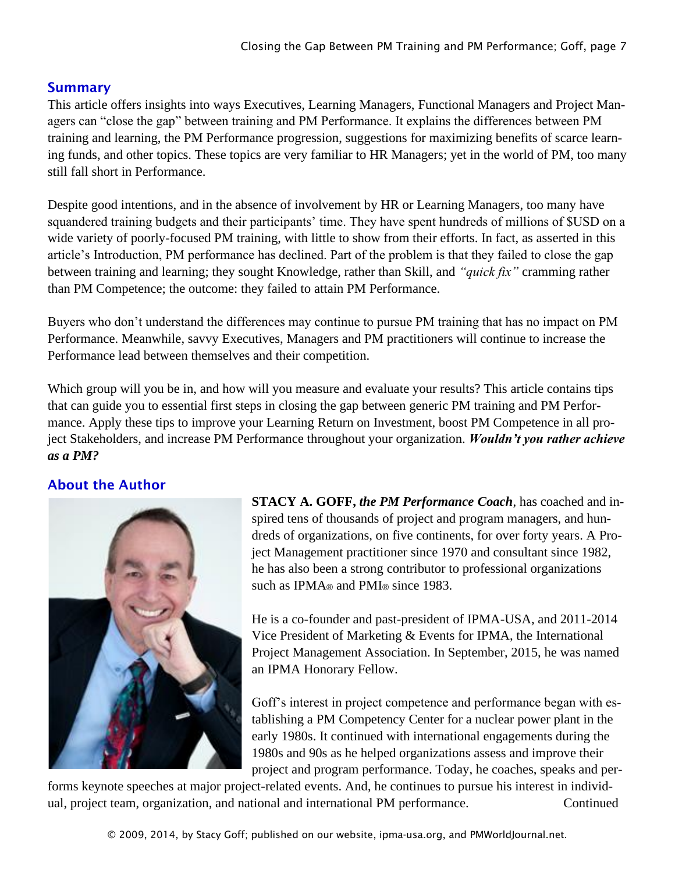# **Summary**

This article offers insights into ways Executives, Learning Managers, Functional Managers and Project Managers can "close the gap" between training and PM Performance. It explains the differences between PM training and learning, the PM Performance progression, suggestions for maximizing benefits of scarce learning funds, and other topics. These topics are very familiar to HR Managers; yet in the world of PM, too many still fall short in Performance.

Despite good intentions, and in the absence of involvement by HR or Learning Managers, too many have squandered training budgets and their participants' time. They have spent hundreds of millions of \$USD on a wide variety of poorly-focused PM training, with little to show from their efforts. In fact, as asserted in this article's Introduction, PM performance has declined. Part of the problem is that they failed to close the gap between training and learning; they sought Knowledge, rather than Skill, and *"quick fix"* cramming rather than PM Competence; the outcome: they failed to attain PM Performance.

Buyers who don't understand the differences may continue to pursue PM training that has no impact on PM Performance. Meanwhile, savvy Executives, Managers and PM practitioners will continue to increase the Performance lead between themselves and their competition.

Which group will you be in, and how will you measure and evaluate your results? This article contains tips that can guide you to essential first steps in closing the gap between generic PM training and PM Performance. Apply these tips to improve your Learning Return on Investment, boost PM Competence in all project Stakeholders, and increase PM Performance throughout your organization. *Wouldn't you rather achieve as a PM?*

# About the Author



**STACY A. GOFF,** *the PM Performance Coach*, has coached and inspired tens of thousands of project and program managers, and hundreds of organizations, on five continents, for over forty years. A Project Management practitioner since 1970 and consultant since 1982, he has also been a strong contributor to professional organizations such as IPMA<sup>®</sup> and PMI<sup>®</sup> since 1983.

He is a co-founder and past-president of IPMA-USA, and 2011-2014 Vice President of Marketing & Events for IPMA, the International Project Management Association. In September, 2015, he was named an IPMA Honorary Fellow.

Goff's interest in project competence and performance began with establishing a PM Competency Center for a nuclear power plant in the early 1980s. It continued with international engagements during the 1980s and 90s as he helped organizations assess and improve their project and program performance. Today, he coaches, speaks and per-

forms keynote speeches at major project-related events. And, he continues to pursue his interest in individual, project team, organization, and national and international PM performance. Continued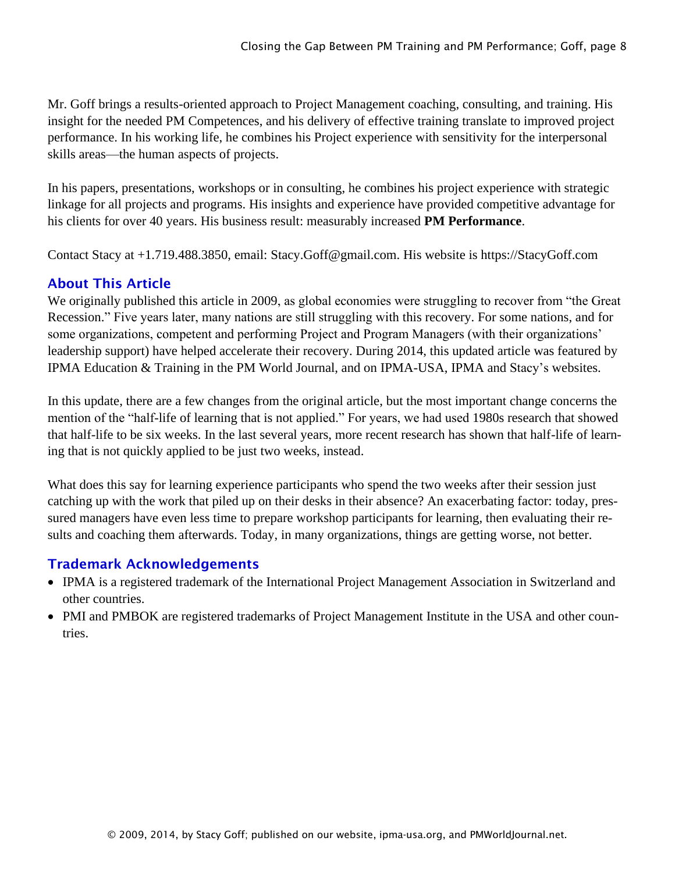Mr. Goff brings a results-oriented approach to Project Management coaching, consulting, and training. His insight for the needed PM Competences, and his delivery of effective training translate to improved project performance. In his working life, he combines his Project experience with sensitivity for the interpersonal skills areas—the human aspects of projects.

In his papers, presentations, workshops or in consulting, he combines his project experience with strategic linkage for all projects and programs. His insights and experience have provided competitive advantage for his clients for over 40 years. His business result: measurably increased **PM Performance**.

Contact Stacy at +1.719.488.3850, email: Stacy.Goff@gmail.com. His website is https://StacyGoff.com

# About This Article

We originally published this article in 2009, as global economies were struggling to recover from "the Great Recession." Five years later, many nations are still struggling with this recovery. For some nations, and for some organizations, competent and performing Project and Program Managers (with their organizations' leadership support) have helped accelerate their recovery. During 2014, this updated article was featured by IPMA Education & Training in the PM World Journal, and on IPMA-USA, IPMA and Stacy's websites.

In this update, there are a few changes from the original article, but the most important change concerns the mention of the "half-life of learning that is not applied." For years, we had used 1980s research that showed that half-life to be six weeks. In the last several years, more recent research has shown that half-life of learning that is not quickly applied to be just two weeks, instead.

What does this say for learning experience participants who spend the two weeks after their session just catching up with the work that piled up on their desks in their absence? An exacerbating factor: today, pressured managers have even less time to prepare workshop participants for learning, then evaluating their results and coaching them afterwards. Today, in many organizations, things are getting worse, not better.

#### Trademark Acknowledgements

- IPMA is a registered trademark of the International Project Management Association in Switzerland and other countries.
- PMI and PMBOK are registered trademarks of Project Management Institute in the USA and other countries.